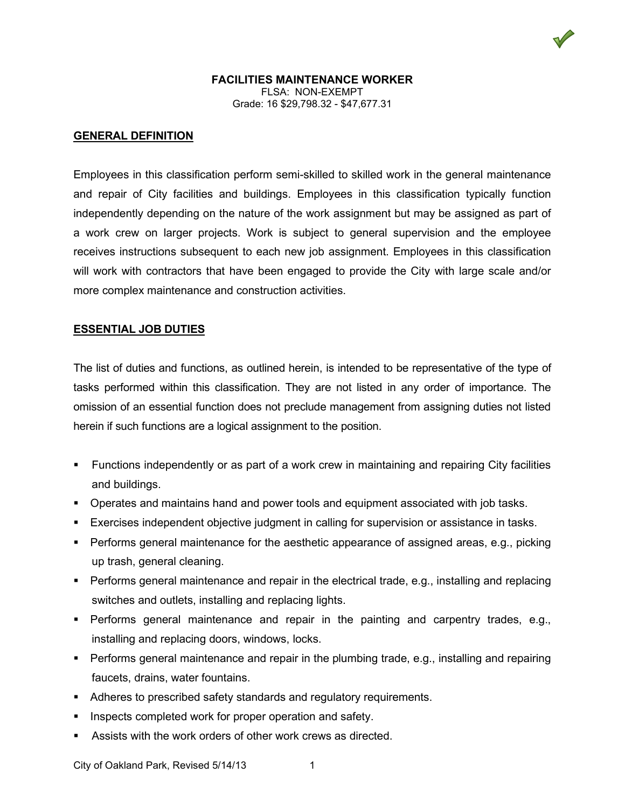### **FACILITIES MAINTENANCE WORKER** FLSA: NON-EXEMPT Grade: 16 \$29,798.32 - \$47,677.31

#### **GENERAL DEFINITION**

Employees in this classification perform semi-skilled to skilled work in the general maintenance and repair of City facilities and buildings. Employees in this classification typically function independently depending on the nature of the work assignment but may be assigned as part of a work crew on larger projects. Work is subject to general supervision and the employee receives instructions subsequent to each new job assignment. Employees in this classification will work with contractors that have been engaged to provide the City with large scale and/or more complex maintenance and construction activities.

#### **ESSENTIAL JOB DUTIES**

The list of duties and functions, as outlined herein, is intended to be representative of the type of tasks performed within this classification. They are not listed in any order of importance. The omission of an essential function does not preclude management from assigning duties not listed herein if such functions are a logical assignment to the position.

- Functions independently or as part of a work crew in maintaining and repairing City facilities and buildings.
- Operates and maintains hand and power tools and equipment associated with job tasks.
- Exercises independent objective judgment in calling for supervision or assistance in tasks.
- Performs general maintenance for the aesthetic appearance of assigned areas, e.g., picking up trash, general cleaning.
- Performs general maintenance and repair in the electrical trade, e.g., installing and replacing switches and outlets, installing and replacing lights.
- Performs general maintenance and repair in the painting and carpentry trades, e.g., installing and replacing doors, windows, locks.
- Performs general maintenance and repair in the plumbing trade, e.g., installing and repairing faucets, drains, water fountains.
- Adheres to prescribed safety standards and regulatory requirements.
- Inspects completed work for proper operation and safety.
- Assists with the work orders of other work crews as directed.

City of Oakland Park, Revised 5/14/13 1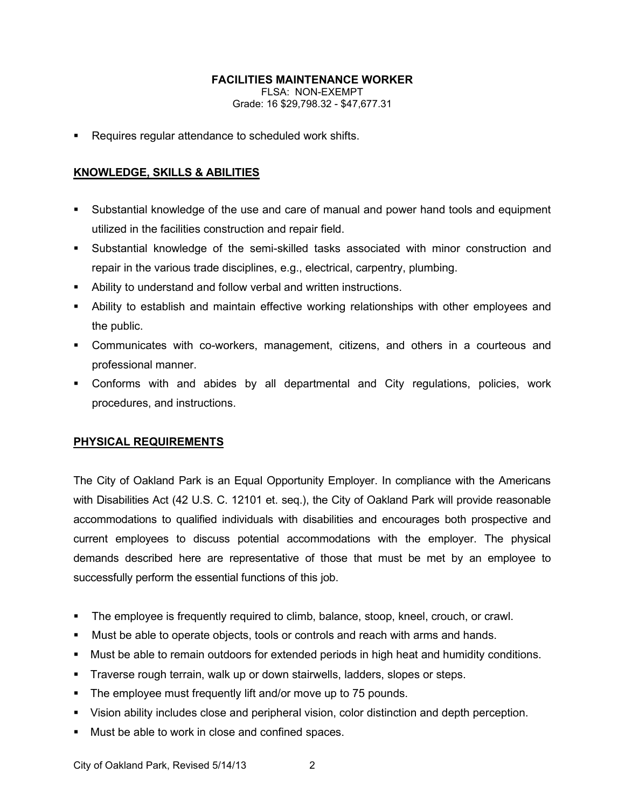# **FACILITIES MAINTENANCE WORKER**

FLSA: NON-EXEMPT Grade: 16 \$29,798.32 - \$47,677.31

**Requires regular attendance to scheduled work shifts.** 

# **KNOWLEDGE, SKILLS & ABILITIES**

- Substantial knowledge of the use and care of manual and power hand tools and equipment utilized in the facilities construction and repair field.
- Substantial knowledge of the semi-skilled tasks associated with minor construction and repair in the various trade disciplines, e.g., electrical, carpentry, plumbing.
- Ability to understand and follow verbal and written instructions.
- Ability to establish and maintain effective working relationships with other employees and the public.
- Communicates with co-workers, management, citizens, and others in a courteous and professional manner.
- Conforms with and abides by all departmental and City regulations, policies, work procedures, and instructions.

# **PHYSICAL REQUIREMENTS**

The City of Oakland Park is an Equal Opportunity Employer. In compliance with the Americans with Disabilities Act (42 U.S. C. 12101 et. seq.), the City of Oakland Park will provide reasonable accommodations to qualified individuals with disabilities and encourages both prospective and current employees to discuss potential accommodations with the employer. The physical demands described here are representative of those that must be met by an employee to successfully perform the essential functions of this job.

- The employee is frequently required to climb, balance, stoop, kneel, crouch, or crawl.
- Must be able to operate objects, tools or controls and reach with arms and hands.
- Must be able to remain outdoors for extended periods in high heat and humidity conditions.
- Traverse rough terrain, walk up or down stairwells, ladders, slopes or steps.
- **The employee must frequently lift and/or move up to 75 pounds.**
- Vision ability includes close and peripheral vision, color distinction and depth perception.
- **Must be able to work in close and confined spaces.**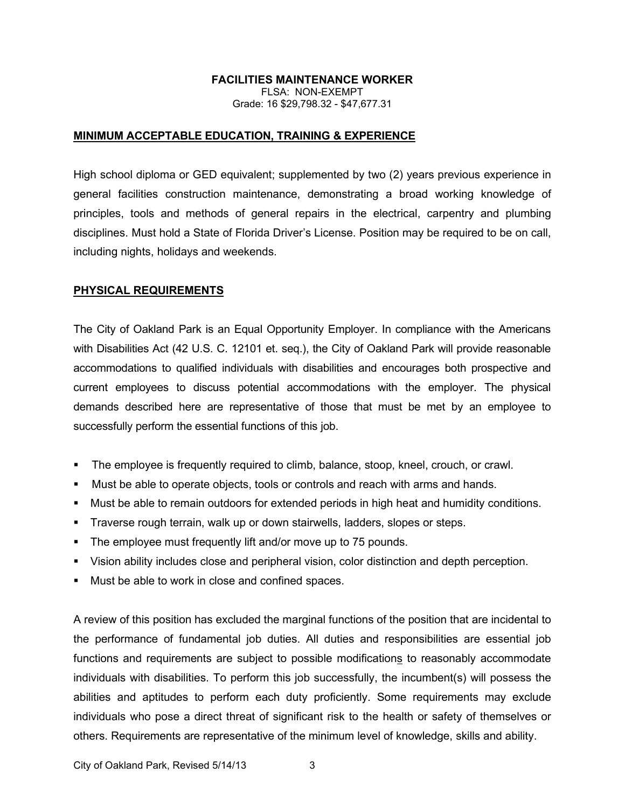## **FACILITIES MAINTENANCE WORKER**

FLSA: NON-EXEMPT Grade: 16 \$29,798.32 - \$47,677.31

### **MINIMUM ACCEPTABLE EDUCATION, TRAINING & EXPERIENCE**

High school diploma or GED equivalent; supplemented by two (2) years previous experience in general facilities construction maintenance, demonstrating a broad working knowledge of principles, tools and methods of general repairs in the electrical, carpentry and plumbing disciplines. Must hold a State of Florida Driver's License. Position may be required to be on call, including nights, holidays and weekends.

# **PHYSICAL REQUIREMENTS**

The City of Oakland Park is an Equal Opportunity Employer. In compliance with the Americans with Disabilities Act (42 U.S. C. 12101 et. seq.), the City of Oakland Park will provide reasonable accommodations to qualified individuals with disabilities and encourages both prospective and current employees to discuss potential accommodations with the employer. The physical demands described here are representative of those that must be met by an employee to successfully perform the essential functions of this job.

- The employee is frequently required to climb, balance, stoop, kneel, crouch, or crawl.
- Must be able to operate objects, tools or controls and reach with arms and hands.
- Must be able to remain outdoors for extended periods in high heat and humidity conditions.
- Traverse rough terrain, walk up or down stairwells, ladders, slopes or steps.
- The employee must frequently lift and/or move up to 75 pounds.
- Vision ability includes close and peripheral vision, color distinction and depth perception.
- **Must be able to work in close and confined spaces.**

A review of this position has excluded the marginal functions of the position that are incidental to the performance of fundamental job duties. All duties and responsibilities are essential job functions and requirements are subject to possible modifications to reasonably accommodate individuals with disabilities. To perform this job successfully, the incumbent(s) will possess the abilities and aptitudes to perform each duty proficiently. Some requirements may exclude individuals who pose a direct threat of significant risk to the health or safety of themselves or others. Requirements are representative of the minimum level of knowledge, skills and ability.